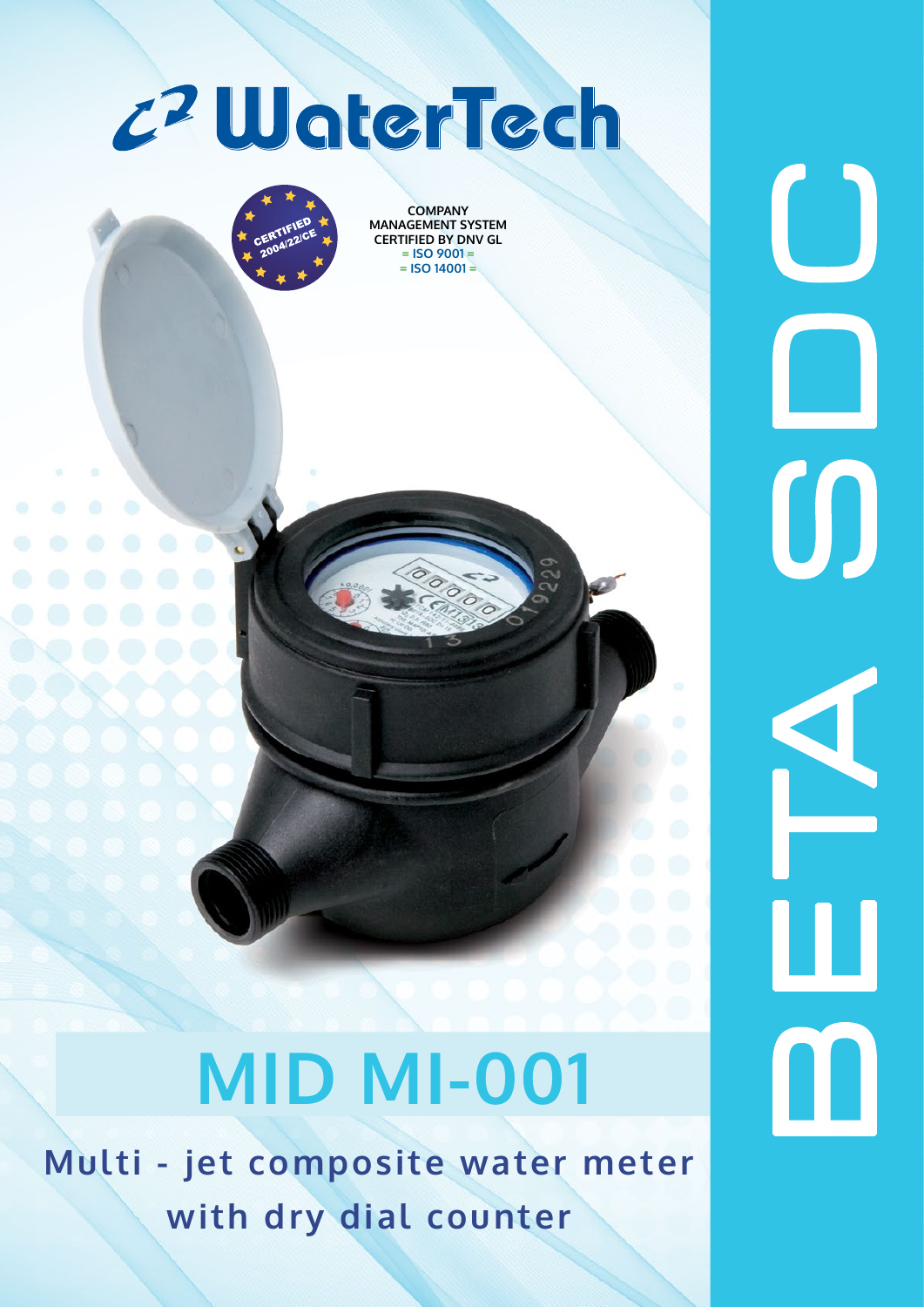



**COMPANY MANAGEMENT SYSTEM CERTIFIED BY DNV GL = ISO 9001 = = ISO 14001 =**

# **MID MI-001**

**Multi - jet composite water meter with dry dial counter**

 $\bigcup$ B E TA S D C  $\bm{\mathsf{0}}$  $\blacktriangle$  ${\bf m}$